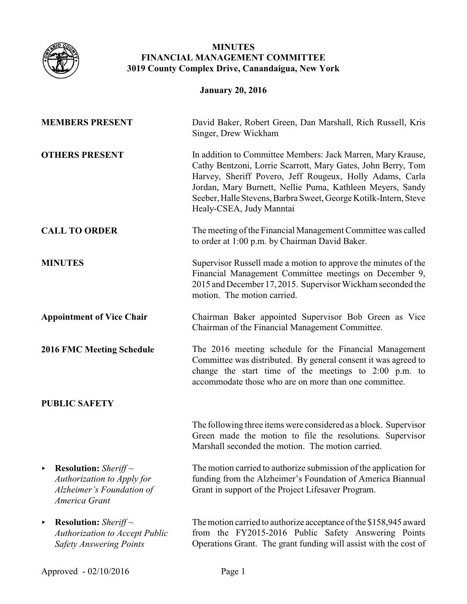

# **MINUTES FINANCIAL MANAGEMENT COMMITTEE 3019 County Complex Drive, Canandaigua, New York**

**January 20, 2016**

| <b>MEMBERS PRESENT</b>                                                                                        | David Baker, Robert Green, Dan Marshall, Rich Russell, Kris<br>Singer, Drew Wickham                                                                                                                                                                                                                                                                  |
|---------------------------------------------------------------------------------------------------------------|------------------------------------------------------------------------------------------------------------------------------------------------------------------------------------------------------------------------------------------------------------------------------------------------------------------------------------------------------|
| <b>OTHERS PRESENT</b>                                                                                         | In addition to Committee Members: Jack Marren, Mary Krause,<br>Cathy Bentzoni, Lorrie Scarrott, Mary Gates, John Berry, Tom<br>Harvey, Sheriff Povero, Jeff Rougeux, Holly Adams, Carla<br>Jordan, Mary Burnett, Nellie Puma, Kathleen Meyers, Sandy<br>Seeber, Halle Stevens, Barbra Sweet, George Kotilk-Intern, Steve<br>Healy-CSEA, Judy Manntai |
| <b>CALL TO ORDER</b>                                                                                          | The meeting of the Financial Management Committee was called<br>to order at 1:00 p.m. by Chairman David Baker.                                                                                                                                                                                                                                       |
| <b>MINUTES</b>                                                                                                | Supervisor Russell made a motion to approve the minutes of the<br>Financial Management Committee meetings on December 9,<br>2015 and December 17, 2015. Supervisor Wickham seconded the<br>motion. The motion carried.                                                                                                                               |
| <b>Appointment of Vice Chair</b>                                                                              | Chairman Baker appointed Supervisor Bob Green as Vice<br>Chairman of the Financial Management Committee.                                                                                                                                                                                                                                             |
| <b>2016 FMC Meeting Schedule</b>                                                                              | The 2016 meeting schedule for the Financial Management<br>Committee was distributed. By general consent it was agreed to<br>change the start time of the meetings to 2:00 p.m. to<br>accommodate those who are on more than one committee.                                                                                                           |
| <b>PUBLIC SAFETY</b>                                                                                          |                                                                                                                                                                                                                                                                                                                                                      |
|                                                                                                               | The following three items were considered as a block. Supervisor<br>Green made the motion to file the resolutions. Supervisor<br>Marshall seconded the motion. The motion carried.                                                                                                                                                                   |
| <b>Resolution:</b> Sheriff $\sim$<br>Authorization to Apply for<br>Alzheimer's Foundation of<br>America Grant | The motion carried to authorize submission of the application for<br>funding from the Alzheimer's Foundation of America Biannual<br>Grant in support of the Project Lifesaver Program.                                                                                                                                                               |
| <b>Resolution:</b> Sheriff $\sim$<br><b>Authorization to Accept Public</b><br><b>Safety Answering Points</b>  | The motion carried to authorize acceptance of the \$158,945 award<br>from the FY2015-2016 Public Safety Answering Points<br>Operations Grant. The grant funding will assist with the cost of                                                                                                                                                         |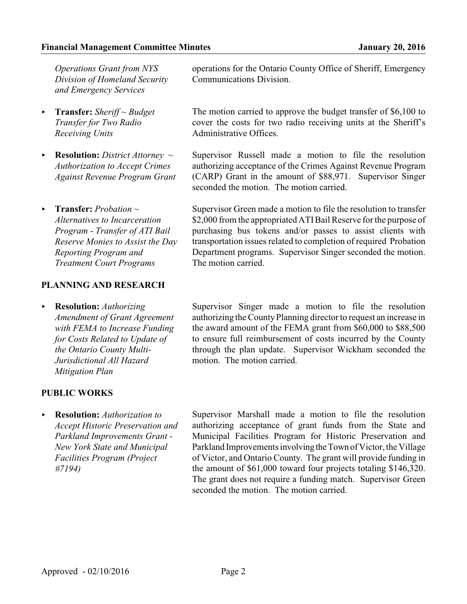*Operations Grant from NYS Division of Homeland Security and Emergency Services* 

- < **Transfer:** *Sheriff ~ Budget Transfer for Two Radio Receiving Units*
- < **Resolution:** *District Attorney ~ Authorization to Accept Crimes Against Revenue Program Grant*
- < **Transfer:** *Probation ~ Alternatives to Incarceration Program - Transfer of ATI Bail Reserve Monies to Assist the Day Reporting Program and Treatment Court Programs*

## **PLANNING AND RESEARCH**

< **Resolution:** *Authorizing Amendment of Grant Agreement with FEMA to Increase Funding for Costs Related to Update of the Ontario County Multi-Jurisdictional All Hazard Mitigation Plan*

## **PUBLIC WORKS**

< **Resolution:** *Authorization to Accept Historic Preservation and Parkland Improvements Grant - New York State and Municipal Facilities Program (Project #7194)*

operations for the Ontario County Office of Sheriff, Emergency Communications Division.

The motion carried to approve the budget transfer of \$6,100 to cover the costs for two radio receiving units at the Sheriff's Administrative Offices.

Supervisor Russell made a motion to file the resolution authorizing acceptance of the Crimes Against Revenue Program (CARP) Grant in the amount of \$88,971. Supervisor Singer seconded the motion. The motion carried.

Supervisor Green made a motion to file the resolution to transfer \$2,000 from the appropriated ATI Bail Reserve for the purpose of purchasing bus tokens and/or passes to assist clients with transportation issues related to completion of required Probation Department programs. Supervisor Singer seconded the motion. The motion carried.

Supervisor Singer made a motion to file the resolution authorizing the County Planning director to request an increase in the award amount of the FEMA grant from \$60,000 to \$88,500 to ensure full reimbursement of costs incurred by the County through the plan update. Supervisor Wickham seconded the motion. The motion carried.

Supervisor Marshall made a motion to file the resolution authorizing acceptance of grant funds from the State and Municipal Facilities Program for Historic Preservation and Parkland Improvements involving the Town of Victor, the Village of Victor, and Ontario County. The grant will provide funding in the amount of \$61,000 toward four projects totaling \$146,320. The grant does not require a funding match. Supervisor Green seconded the motion. The motion carried.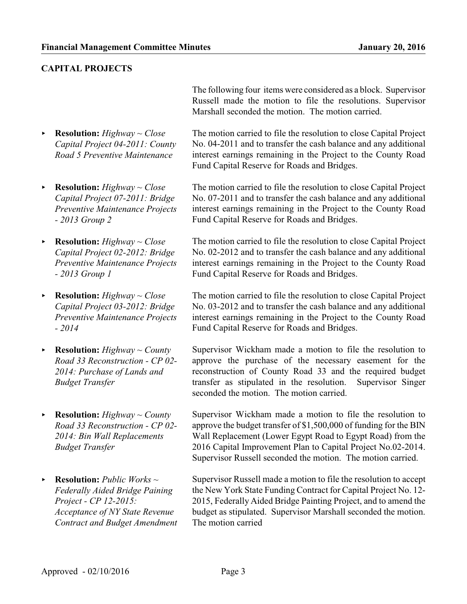# **CAPITAL PROJECTS**

- < **Resolution:** *Highway ~ Close Capital Project 04-2011: County Road 5 Preventive Maintenance*
- < **Resolution:** *Highway ~ Close Capital Project 07-2011: Bridge Preventive Maintenance Projects - 2013 Group 2*
- < **Resolution:** *Highway ~ Close Capital Project 02-2012: Bridge Preventive Maintenance Projects - 2013 Group 1*
- < **Resolution:** *Highway ~ Close Capital Project 03-2012: Bridge Preventive Maintenance Projects - 2014*
- < **Resolution:** *Highway ~ County Road 33 Reconstruction - CP 02- 2014: Purchase of Lands and Budget Transfer*
- < **Resolution:** *Highway ~ County Road 33 Reconstruction - CP 02- 2014: Bin Wall Replacements Budget Transfer*
- < **Resolution:** *Public Works ~ Federally Aided Bridge Paining Project - CP 12-2015: Acceptance of NY State Revenue Contract and Budget Amendment*

The following four items were considered as a block. Supervisor Russell made the motion to file the resolutions. Supervisor Marshall seconded the motion. The motion carried.

The motion carried to file the resolution to close Capital Project No. 04-2011 and to transfer the cash balance and any additional interest earnings remaining in the Project to the County Road Fund Capital Reserve for Roads and Bridges.

The motion carried to file the resolution to close Capital Project No. 07-2011 and to transfer the cash balance and any additional interest earnings remaining in the Project to the County Road Fund Capital Reserve for Roads and Bridges.

The motion carried to file the resolution to close Capital Project No. 02-2012 and to transfer the cash balance and any additional interest earnings remaining in the Project to the County Road Fund Capital Reserve for Roads and Bridges.

The motion carried to file the resolution to close Capital Project No. 03-2012 and to transfer the cash balance and any additional interest earnings remaining in the Project to the County Road Fund Capital Reserve for Roads and Bridges.

Supervisor Wickham made a motion to file the resolution to approve the purchase of the necessary easement for the reconstruction of County Road 33 and the required budget transfer as stipulated in the resolution. Supervisor Singer seconded the motion. The motion carried.

Supervisor Wickham made a motion to file the resolution to approve the budget transfer of \$1,500,000 of funding for the BIN Wall Replacement (Lower Egypt Road to Egypt Road) from the 2016 Capital Improvement Plan to Capital Project No.02-2014. Supervisor Russell seconded the motion. The motion carried.

Supervisor Russell made a motion to file the resolution to accept the New York State Funding Contract for Capital Project No. 12- 2015, Federally Aided Bridge Painting Project, and to amend the budget as stipulated. Supervisor Marshall seconded the motion. The motion carried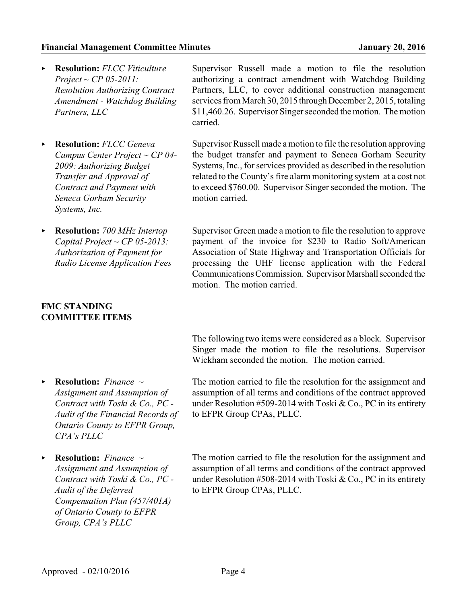#### **Financial Management Committee Minutes January 20, 2016**

- < **Resolution:** *FLCC Viticulture Project ~ CP 05-2011: Resolution Authorizing Contract Amendment - Watchdog Building Partners, LLC*
- < **Resolution:** *FLCC Geneva Campus Center Project ~ CP 04- 2009: Authorizing Budget Transfer and Approval of Contract and Payment with Seneca Gorham Security Systems, Inc.*
- < **Resolution:** *700 MHz Intertop Capital Project ~ CP 05-2013: Authorization of Payment for Radio License Application Fees*

## **FMC STANDING COMMITTEE ITEMS**

Supervisor Russell made a motion to file the resolution authorizing a contract amendment with Watchdog Building Partners, LLC, to cover additional construction management services from March 30, 2015 through December 2, 2015, totaling \$11,460.26. Supervisor Singer seconded the motion. The motion carried.

Supervisor Russell made amotion to file the resolution approving the budget transfer and payment to Seneca Gorham Security Systems, Inc., for services provided as described in the resolution related to the County's fire alarm monitoring system at a cost not to exceed \$760.00. Supervisor Singer seconded the motion. The motion carried.

Supervisor Green made a motion to file the resolution to approve payment of the invoice for \$230 to Radio Soft/American Association of State Highway and Transportation Officials for processing the UHF license application with the Federal Communications Commission. Supervisor Marshall seconded the motion. The motion carried.

The following two items were considered as a block. Supervisor Singer made the motion to file the resolutions. Supervisor Wickham seconded the motion. The motion carried.

- < **Resolution:** *Finance ~ Assignment and Assumption of Contract with Toski & Co., PC - Audit of the Financial Records of Ontario County to EFPR Group, CPA's PLLC*
- < **Resolution:** *Finance ~ Assignment and Assumption of Contract with Toski & Co., PC - Audit of the Deferred Compensation Plan (457/401A) of Ontario County to EFPR Group, CPA's PLLC*

The motion carried to file the resolution for the assignment and assumption of all terms and conditions of the contract approved under Resolution #509-2014 with Toski & Co., PC in its entirety to EFPR Group CPAs, PLLC.

The motion carried to file the resolution for the assignment and assumption of all terms and conditions of the contract approved under Resolution #508-2014 with Toski & Co., PC in its entirety to EFPR Group CPAs, PLLC.